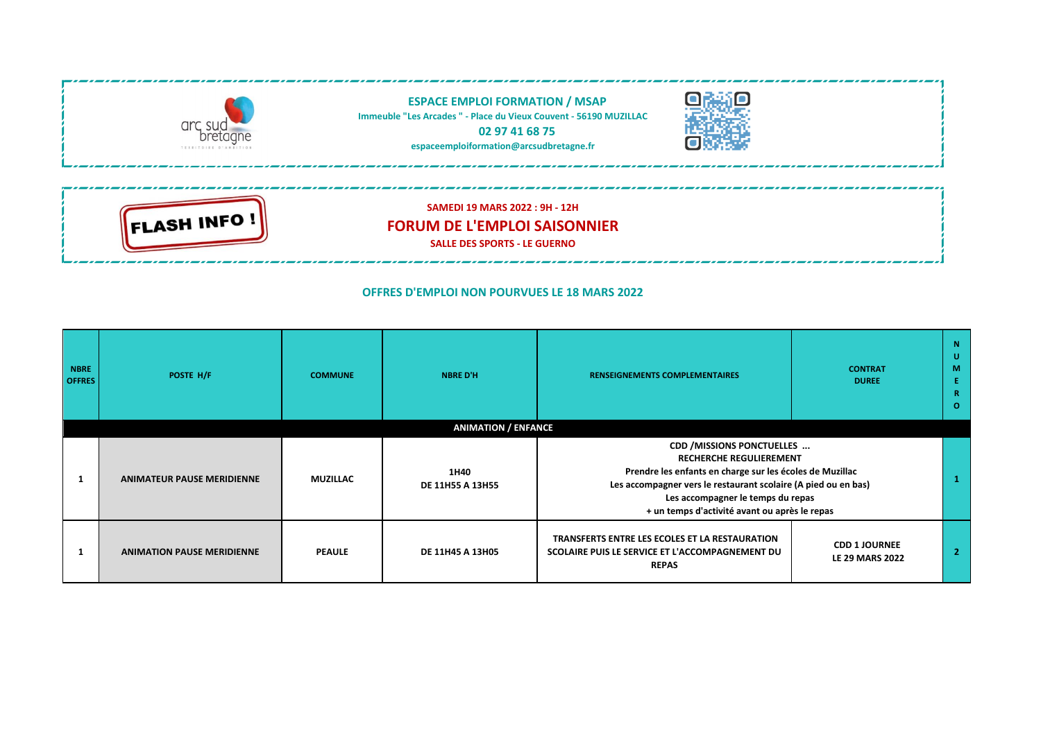

## **OFFRES D'EMPLOI NON POURVUES LE 18 MARS 2022**

| <b>NBRE</b><br><b>OFFRES</b> | POSTE H/F                         | <b>COMMUNE</b>  | <b>NBRE D'H</b>                 | <b>RENSEIGNEMENTS COMPLEMENTAIRES</b>                                                                                                                                                                                                                                            | <b>CONTRAT</b><br><b>DUREE</b>                 | -N<br>U<br>M<br>R.<br>$\Omega$ |
|------------------------------|-----------------------------------|-----------------|---------------------------------|----------------------------------------------------------------------------------------------------------------------------------------------------------------------------------------------------------------------------------------------------------------------------------|------------------------------------------------|--------------------------------|
|                              |                                   |                 | <b>ANIMATION / ENFANCE</b>      |                                                                                                                                                                                                                                                                                  |                                                |                                |
|                              | <b>ANIMATEUR PAUSE MERIDIENNE</b> | <b>MUZILLAC</b> | 1H40<br><b>DE 11H55 A 13H55</b> | CDD / MISSIONS PONCTUELLES<br><b>RECHERCHE REGULIEREMENT</b><br>Prendre les enfants en charge sur les écoles de Muzillac<br>Les accompagner vers le restaurant scolaire (A pied ou en bas)<br>Les accompagner le temps du repas<br>+ un temps d'activité avant ou après le repas |                                                |                                |
|                              | <b>ANIMATION PAUSE MERIDIENNE</b> | <b>PEAULE</b>   | DE 11H45 A 13H05                | TRANSFERTS ENTRE LES ECOLES ET LA RESTAURATION<br>SCOLAIRE PUIS LE SERVICE ET L'ACCOMPAGNEMENT DU<br><b>REPAS</b>                                                                                                                                                                | <b>CDD 1 JOURNEE</b><br><b>LE 29 MARS 2022</b> | $\overline{2}$                 |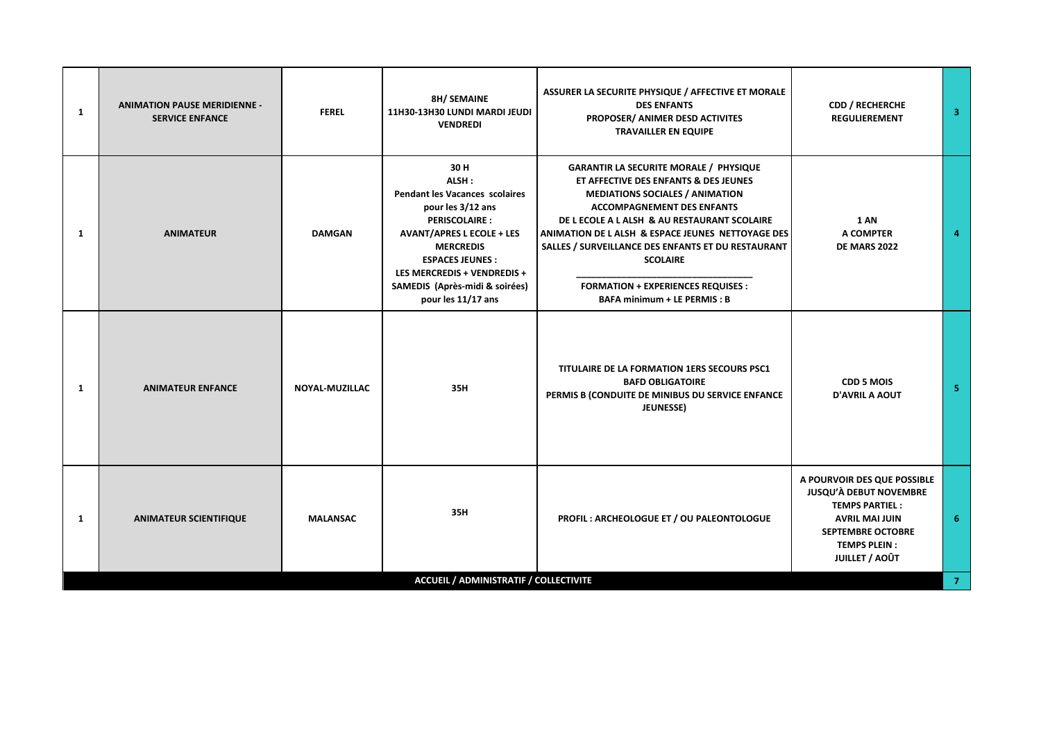| $\mathbf{1}$ | <b>ANIMATION PAUSE MERIDIENNE -</b><br><b>SERVICE ENFANCE</b> | <b>FEREL</b>    | <b>8H/ SEMAINE</b><br>11H30-13H30 LUNDI MARDI JEUDI<br><b>VENDREDI</b>                                                                                                                                                                                                       | ASSURER LA SECURITE PHYSIQUE / AFFECTIVE ET MORALE<br><b>DES ENFANTS</b><br>PROPOSER/ ANIMER DESD ACTIVITES<br><b>TRAVAILLER EN EQUIPE</b>                                                                                                                                                                                                                                                                                            | <b>CDD / RECHERCHE</b><br><b>REGULIEREMENT</b>                                                                                                                                             | $\overline{\mathbf{3}}$ |
|--------------|---------------------------------------------------------------|-----------------|------------------------------------------------------------------------------------------------------------------------------------------------------------------------------------------------------------------------------------------------------------------------------|---------------------------------------------------------------------------------------------------------------------------------------------------------------------------------------------------------------------------------------------------------------------------------------------------------------------------------------------------------------------------------------------------------------------------------------|--------------------------------------------------------------------------------------------------------------------------------------------------------------------------------------------|-------------------------|
| $\mathbf{1}$ | <b>ANIMATEUR</b>                                              | <b>DAMGAN</b>   | 30 H<br>ALSH:<br><b>Pendant les Vacances scolaires</b><br>pour les 3/12 ans<br><b>PERISCOLAIRE:</b><br><b>AVANT/APRES L ECOLE + LES</b><br><b>MERCREDIS</b><br><b>ESPACES JEUNES:</b><br>LES MERCREDIS + VENDREDIS +<br>SAMEDIS (Après-midi & soirées)<br>pour les 11/17 ans | <b>GARANTIR LA SECURITE MORALE / PHYSIQUE</b><br>ET AFFECTIVE DES ENFANTS & DES JEUNES<br><b>MEDIATIONS SOCIALES / ANIMATION</b><br><b>ACCOMPAGNEMENT DES ENFANTS</b><br>DE L ECOLE A L ALSH & AU RESTAURANT SCOLAIRE<br>ANIMATION DE LALSH & ESPACE JEUNES NETTOYAGE DES<br>SALLES / SURVEILLANCE DES ENFANTS ET DU RESTAURANT<br><b>SCOLAIRE</b><br><b>FORMATION + EXPERIENCES REQUISES :</b><br><b>BAFA minimum + LE PERMIS: B</b> | <b>1 AN</b><br>A COMPTER<br><b>DE MARS 2022</b>                                                                                                                                            | 4                       |
| 1            | <b>ANIMATEUR ENFANCE</b>                                      | NOYAL-MUZILLAC  | 35H                                                                                                                                                                                                                                                                          | TITULAIRE DE LA FORMATION 1ERS SECOURS PSC1<br><b>BAFD OBLIGATOIRE</b><br>PERMIS B (CONDUITE DE MINIBUS DU SERVICE ENFANCE<br>JEUNESSE)                                                                                                                                                                                                                                                                                               | <b>CDD 5 MOIS</b><br><b>D'AVRIL A AOUT</b>                                                                                                                                                 | -5                      |
| $\mathbf{1}$ | <b>ANIMATEUR SCIENTIFIQUE</b>                                 | <b>MALANSAC</b> | 35H                                                                                                                                                                                                                                                                          | PROFIL: ARCHEOLOGUE ET / OU PALEONTOLOGUE                                                                                                                                                                                                                                                                                                                                                                                             | A POURVOIR DES QUE POSSIBLE<br><b>JUSQU'À DEBUT NOVEMBRE</b><br><b>TEMPS PARTIEL:</b><br><b>AVRIL MAI JUIN</b><br><b>SEPTEMBRE OCTOBRE</b><br><b>TEMPS PLEIN:</b><br><b>JUILLET / AOÛT</b> | 6                       |
|              |                                                               |                 | ACCUEIL / ADMINISTRATIF / COLLECTIVITE                                                                                                                                                                                                                                       |                                                                                                                                                                                                                                                                                                                                                                                                                                       |                                                                                                                                                                                            | 7 <sup>7</sup>          |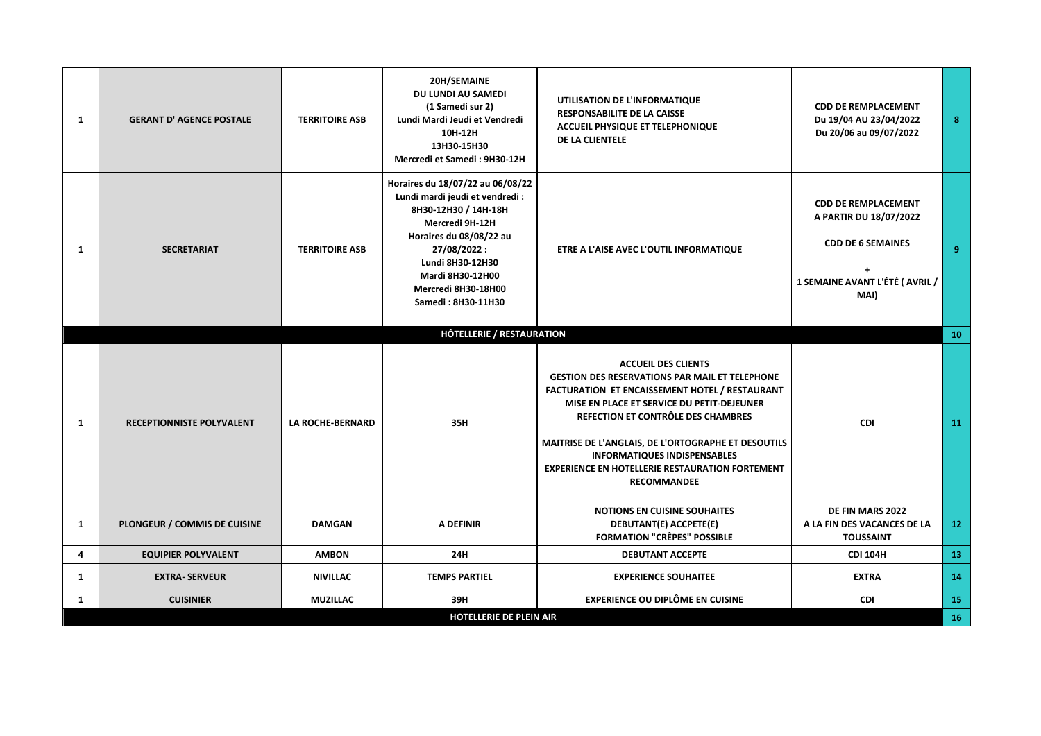| $\mathbf{1}$ | <b>GERANT D' AGENCE POSTALE</b>  | <b>TERRITOIRE ASB</b>   | 20H/SEMAINE<br>DU LUNDI AU SAMEDI<br>(1 Samedi sur 2)<br>Lundi Mardi Jeudi et Vendredi<br>10H-12H<br>13H30-15H30<br>Mercredi et Samedi: 9H30-12H                                                                                              | UTILISATION DE L'INFORMATIQUE<br><b>RESPONSABILITE DE LA CAISSE</b><br><b>ACCUEIL PHYSIQUE ET TELEPHONIQUE</b><br>DE LA CLIENTELE                                                                                                                                                                                                                                                                       | <b>CDD DE REMPLACEMENT</b><br>Du 19/04 AU 23/04/2022<br>Du 20/06 au 09/07/2022                                             | 8               |
|--------------|----------------------------------|-------------------------|-----------------------------------------------------------------------------------------------------------------------------------------------------------------------------------------------------------------------------------------------|---------------------------------------------------------------------------------------------------------------------------------------------------------------------------------------------------------------------------------------------------------------------------------------------------------------------------------------------------------------------------------------------------------|----------------------------------------------------------------------------------------------------------------------------|-----------------|
| 1            | <b>SECRETARIAT</b>               | <b>TERRITOIRE ASB</b>   | Horaires du 18/07/22 au 06/08/22<br>Lundi mardi jeudi et vendredi :<br>8H30-12H30 / 14H-18H<br>Mercredi 9H-12H<br>Horaires du 08/08/22 au<br>27/08/2022:<br>Lundi 8H30-12H30<br>Mardi 8H30-12H00<br>Mercredi 8H30-18H00<br>Samedi: 8H30-11H30 | ETRE A L'AISE AVEC L'OUTIL INFORMATIQUE                                                                                                                                                                                                                                                                                                                                                                 | <b>CDD DE REMPLACEMENT</b><br>A PARTIR DU 18/07/2022<br><b>CDD DE 6 SEMAINES</b><br>1 SEMAINE AVANT L'ÉTÉ (AVRIL /<br>MAI) | 9               |
|              |                                  |                         | <b>HÔTELLERIE / RESTAURATION</b>                                                                                                                                                                                                              |                                                                                                                                                                                                                                                                                                                                                                                                         |                                                                                                                            | 10              |
| 1            | <b>RECEPTIONNISTE POLYVALENT</b> | <b>LA ROCHE-BERNARD</b> | 35H                                                                                                                                                                                                                                           | <b>ACCUEIL DES CLIENTS</b><br><b>GESTION DES RESERVATIONS PAR MAIL ET TELEPHONE</b><br>FACTURATION ET ENCAISSEMENT HOTEL / RESTAURANT<br>MISE EN PLACE ET SERVICE DU PETIT-DEJEUNER<br>REFECTION ET CONTRÔLE DES CHAMBRES<br>MAITRISE DE L'ANGLAIS, DE L'ORTOGRAPHE ET DESOUTILS<br><b>INFORMATIQUES INDISPENSABLES</b><br><b>EXPERIENCE EN HOTELLERIE RESTAURATION FORTEMENT</b><br><b>RECOMMANDEE</b> | CDI                                                                                                                        | 11              |
| $\mathbf{1}$ | PLONGEUR / COMMIS DE CUISINE     | <b>DAMGAN</b>           | A DEFINIR                                                                                                                                                                                                                                     | <b>NOTIONS EN CUISINE SOUHAITES</b><br>DEBUTANT(E) ACCPETE(E)<br><b>FORMATION "CRÊPES" POSSIBLE</b>                                                                                                                                                                                                                                                                                                     | DE FIN MARS 2022<br>A LA FIN DES VACANCES DE LA<br><b>TOUSSAINT</b>                                                        | 12 <sub>2</sub> |
| 4            | <b>EQUIPIER POLYVALENT</b>       | <b>AMBON</b>            | 24H                                                                                                                                                                                                                                           | <b>DEBUTANT ACCEPTE</b>                                                                                                                                                                                                                                                                                                                                                                                 | <b>CDI 104H</b>                                                                                                            | 13              |
| 1            | <b>EXTRA- SERVEUR</b>            | <b>NIVILLAC</b>         | <b>TEMPS PARTIEL</b>                                                                                                                                                                                                                          | <b>EXPERIENCE SOUHAITEE</b>                                                                                                                                                                                                                                                                                                                                                                             | <b>EXTRA</b>                                                                                                               | 14              |
| $\mathbf{1}$ | <b>CUISINIER</b>                 | <b>MUZILLAC</b>         | 39H                                                                                                                                                                                                                                           | <b>EXPERIENCE OU DIPLÔME EN CUISINE</b>                                                                                                                                                                                                                                                                                                                                                                 | <b>CDI</b>                                                                                                                 | 15              |
|              |                                  |                         | <b>HOTELLERIE DE PLEIN AIR</b>                                                                                                                                                                                                                |                                                                                                                                                                                                                                                                                                                                                                                                         |                                                                                                                            | 16              |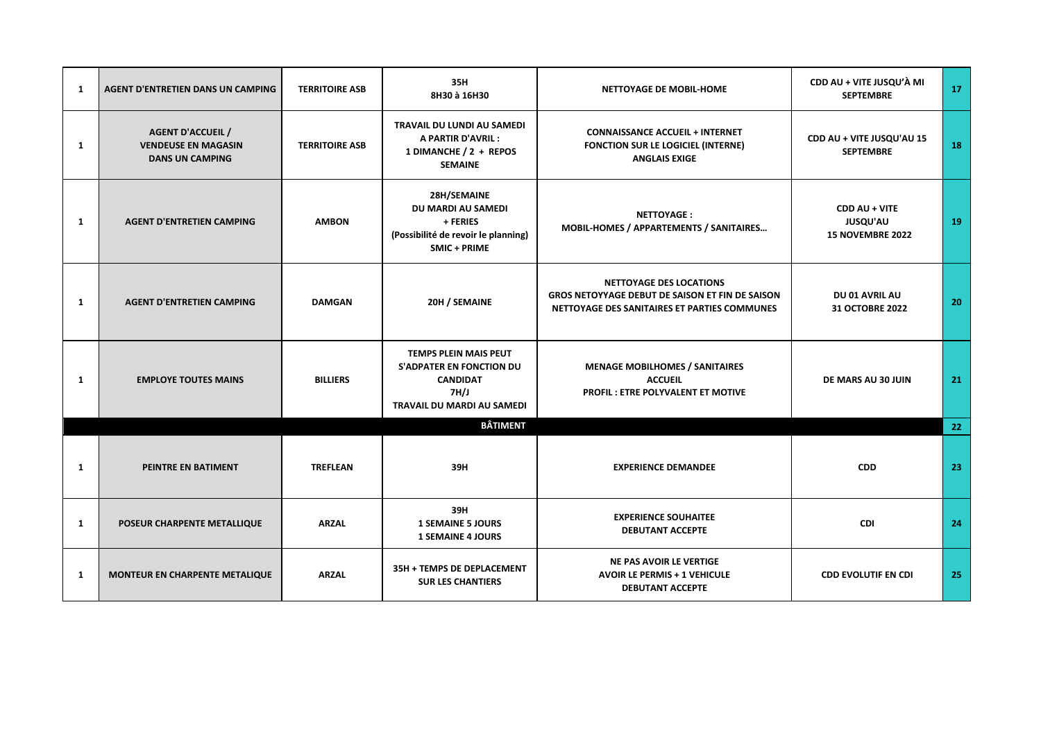| 1 | <b>AGENT D'ENTRETIEN DANS UN CAMPING</b>                                         | <b>TERRITOIRE ASB</b> | 35H<br>8H30 à 16H30                                                                                                      | NETTOYAGE DE MOBIL-HOME                                                                                                                  | CDD AU + VITE JUSQU'À MI<br><b>SEPTEMBRE</b>         | 17              |
|---|----------------------------------------------------------------------------------|-----------------------|--------------------------------------------------------------------------------------------------------------------------|------------------------------------------------------------------------------------------------------------------------------------------|------------------------------------------------------|-----------------|
| 1 | <b>AGENT D'ACCUEIL /</b><br><b>VENDEUSE EN MAGASIN</b><br><b>DANS UN CAMPING</b> | <b>TERRITOIRE ASB</b> | TRAVAIL DU LUNDI AU SAMEDI<br>A PARTIR D'AVRIL :<br>1 DIMANCHE / 2 + REPOS<br><b>SEMAINE</b>                             | <b>CONNAISSANCE ACCUEIL + INTERNET</b><br><b>FONCTION SUR LE LOGICIEL (INTERNE)</b><br><b>ANGLAIS EXIGE</b>                              | CDD AU + VITE JUSQU'AU 15<br><b>SEPTEMBRE</b>        | 18              |
| 1 | <b>AGENT D'ENTRETIEN CAMPING</b>                                                 | <b>AMBON</b>          | 28H/SEMAINE<br>DU MARDI AU SAMEDI<br>+ FERIES<br>(Possibilité de revoir le planning)<br>SMIC + PRIME                     | <b>NETTOYAGE:</b><br>MOBIL-HOMES / APPARTEMENTS / SANITAIRES                                                                             | CDD AU + VITE<br><b>JUSQU'AU</b><br>15 NOVEMBRE 2022 | 19              |
| 1 | <b>AGENT D'ENTRETIEN CAMPING</b>                                                 | <b>DAMGAN</b>         | 20H / SEMAINE                                                                                                            | <b>NETTOYAGE DES LOCATIONS</b><br><b>GROS NETOYYAGE DEBUT DE SAISON ET FIN DE SAISON</b><br>NETTOYAGE DES SANITAIRES ET PARTIES COMMUNES | DU 01 AVRIL AU<br><b>31 OCTOBRE 2022</b>             | 20              |
| 1 | <b>EMPLOYE TOUTES MAINS</b>                                                      | <b>BILLIERS</b>       | <b>TEMPS PLEIN MAIS PEUT</b><br><b>S'ADPATER EN FONCTION DU</b><br><b>CANDIDAT</b><br>7H/J<br>TRAVAIL DU MARDI AU SAMEDI | <b>MENAGE MOBILHOMES / SANITAIRES</b><br><b>ACCUEIL</b><br><b>PROFIL: ETRE POLYVALENT ET MOTIVE</b>                                      | DE MARS AU 30 JUIN                                   | 21              |
|   |                                                                                  |                       | <b>BÂTIMENT</b>                                                                                                          |                                                                                                                                          |                                                      | 22 <sub>2</sub> |
| 1 | PEINTRE EN BATIMENT                                                              | <b>TREFLEAN</b>       | 39H                                                                                                                      | <b>EXPERIENCE DEMANDEE</b>                                                                                                               | <b>CDD</b>                                           | 23              |
| 1 | POSEUR CHARPENTE METALLIQUE                                                      | <b>ARZAL</b>          | 39H<br><b>1 SEMAINE 5 JOURS</b><br><b>1 SEMAINE 4 JOURS</b>                                                              | <b>EXPERIENCE SOUHAITEE</b><br><b>DEBUTANT ACCEPTE</b>                                                                                   | CDI                                                  | 24              |
| 1 | MONTEUR EN CHARPENTE METALIQUE                                                   | <b>ARZAL</b>          | 35H + TEMPS DE DEPLACEMENT<br><b>SUR LES CHANTIERS</b>                                                                   | <b>NE PAS AVOIR LE VERTIGE</b><br><b>AVOIR LE PERMIS + 1 VEHICULE</b><br><b>DEBUTANT ACCEPTE</b>                                         | <b>CDD EVOLUTIF EN CDI</b>                           | 25              |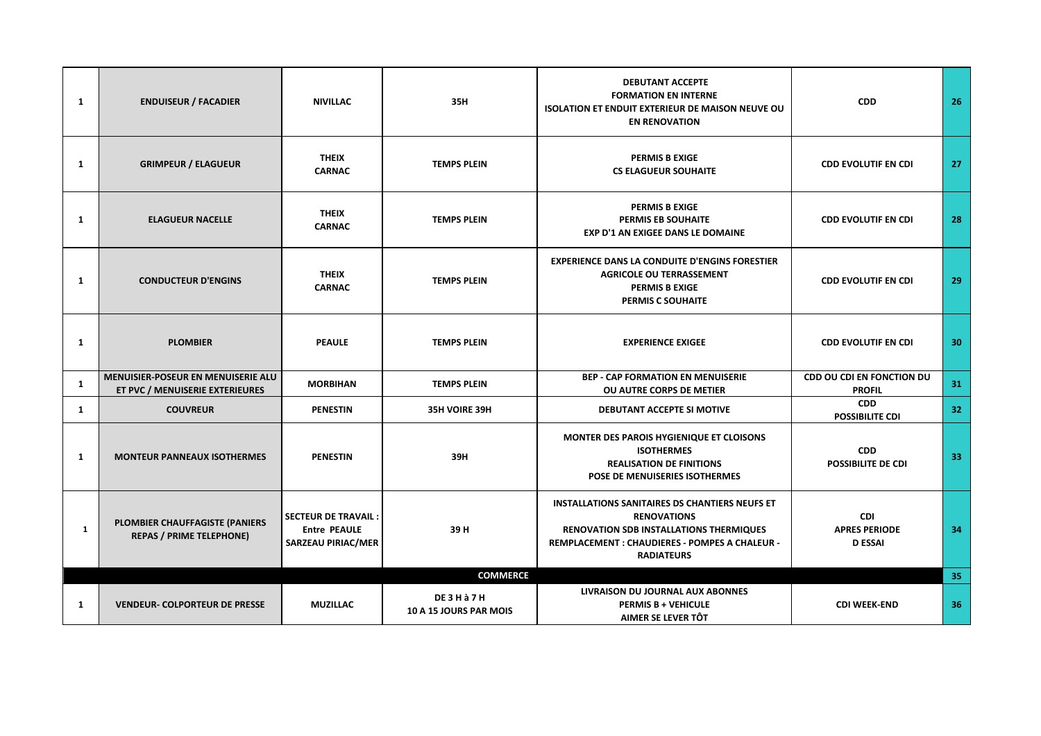| 1 | <b>ENDUISEUR / FACADIER</b>                                                  | <b>NIVILLAC</b>                                                         | 35H                                      | <b>DEBUTANT ACCEPTE</b><br><b>FORMATION EN INTERNE</b><br><b>ISOLATION ET ENDUIT EXTERIEUR DE MAISON NEUVE OU</b><br><b>EN RENOVATION</b>                                                            | <b>CDD</b>                                           | 26 |
|---|------------------------------------------------------------------------------|-------------------------------------------------------------------------|------------------------------------------|------------------------------------------------------------------------------------------------------------------------------------------------------------------------------------------------------|------------------------------------------------------|----|
| 1 | <b>GRIMPEUR / ELAGUEUR</b>                                                   | <b>THEIX</b><br><b>CARNAC</b>                                           | <b>TEMPS PLEIN</b>                       | <b>PERMIS B EXIGE</b><br><b>CS ELAGUEUR SOUHAITE</b>                                                                                                                                                 | <b>CDD EVOLUTIF EN CDI</b>                           | 27 |
| 1 | <b>ELAGUEUR NACELLE</b>                                                      | <b>THEIX</b><br><b>CARNAC</b>                                           | <b>TEMPS PLEIN</b>                       | <b>PERMIS B EXIGE</b><br>PERMIS EB SOUHAITE<br><b>EXP D'1 AN EXIGEE DANS LE DOMAINE</b>                                                                                                              | <b>CDD EVOLUTIF EN CDI</b>                           | 28 |
| 1 | <b>CONDUCTEUR D'ENGINS</b>                                                   | <b>THEIX</b><br><b>CARNAC</b>                                           | <b>TEMPS PLEIN</b>                       | <b>EXPERIENCE DANS LA CONDUITE D'ENGINS FORESTIER</b><br><b>AGRICOLE OU TERRASSEMENT</b><br><b>PERMIS B EXIGE</b><br>PERMIS C SOUHAITE                                                               | <b>CDD EVOLUTIF EN CDI</b>                           | 29 |
| 1 | <b>PLOMBIER</b>                                                              | <b>PEAULE</b>                                                           | <b>TEMPS PLEIN</b>                       | <b>EXPERIENCE EXIGEE</b>                                                                                                                                                                             | <b>CDD EVOLUTIF EN CDI</b>                           | 30 |
| 1 | <b>MENUISIER-POSEUR EN MENUISERIE ALU</b><br>ET PVC / MENUISERIE EXTERIEURES | <b>MORBIHAN</b>                                                         | <b>TEMPS PLEIN</b>                       | <b>BEP - CAP FORMATION EN MENUISERIE</b><br>OU AUTRE CORPS DE METIER                                                                                                                                 | <b>CDD OU CDI EN FONCTION DU</b><br><b>PROFIL</b>    | 31 |
| 1 | <b>COUVREUR</b>                                                              | <b>PENESTIN</b>                                                         | 35H VOIRE 39H                            | DEBUTANT ACCEPTE SI MOTIVE                                                                                                                                                                           | <b>CDD</b><br><b>POSSIBILITE CDI</b>                 | 32 |
| 1 | <b>MONTEUR PANNEAUX ISOTHERMES</b>                                           | <b>PENESTIN</b>                                                         | 39H                                      | MONTER DES PAROIS HYGIENIQUE ET CLOISONS<br><b>ISOTHERMES</b><br><b>REALISATION DE FINITIONS</b><br>POSE DE MENUISERIES ISOTHERMES                                                                   | <b>CDD</b><br><b>POSSIBILITE DE CDI</b>              | 33 |
| 1 | PLOMBIER CHAUFFAGISTE (PANIERS<br><b>REPAS / PRIME TELEPHONE)</b>            | <b>SECTEUR DE TRAVAIL:</b><br><b>Entre PEAULE</b><br>SARZEAU PIRIAC/MER | 39H                                      | <b>INSTALLATIONS SANITAIRES DS CHANTIERS NEUFS ET</b><br><b>RENOVATIONS</b><br><b>RENOVATION SDB INSTALLATIONS THERMIQUES</b><br>REMPLACEMENT : CHAUDIERES - POMPES A CHALEUR -<br><b>RADIATEURS</b> | <b>CDI</b><br><b>APRES PERIODE</b><br><b>D ESSAI</b> | 34 |
|   |                                                                              |                                                                         | <b>COMMERCE</b>                          |                                                                                                                                                                                                      |                                                      | 35 |
| 1 | <b>VENDEUR- COLPORTEUR DE PRESSE</b>                                         | <b>MUZILLAC</b>                                                         | <b>DE3Hà7H</b><br>10 A 15 JOURS PAR MOIS | LIVRAISON DU JOURNAL AUX ABONNES<br><b>PERMIS B + VEHICULE</b><br>AIMER SE LEVER TÔT                                                                                                                 | <b>CDI WEEK-END</b>                                  | 36 |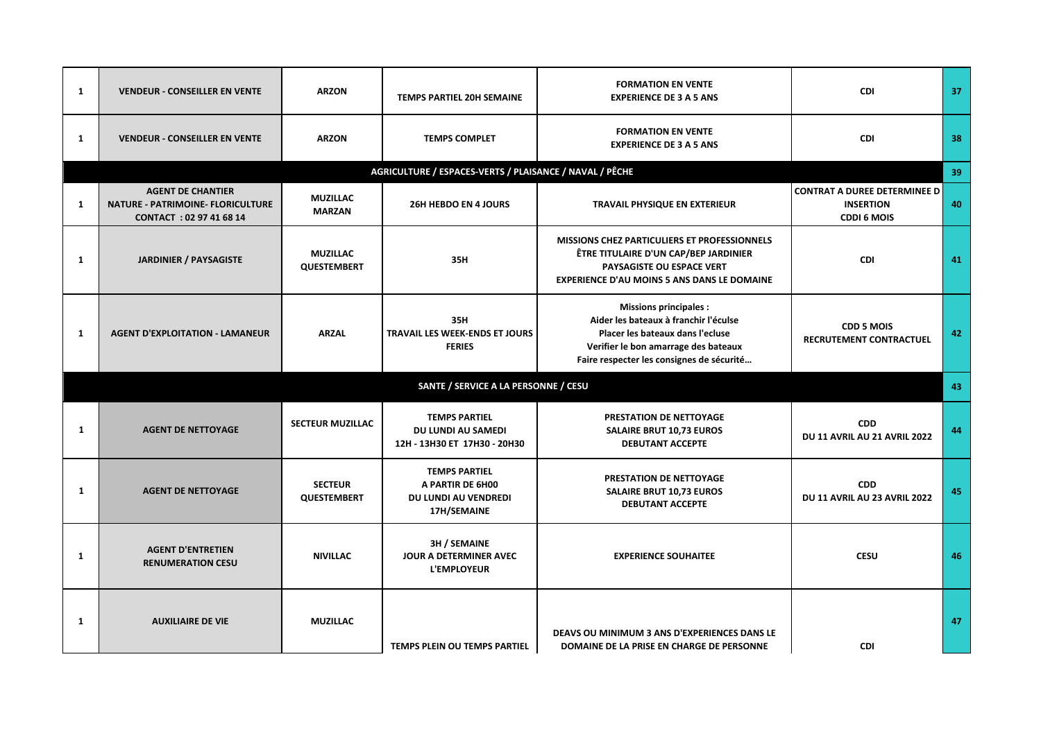| 1 | <b>VENDEUR - CONSEILLER EN VENTE</b>                                                            | <b>ARZON</b>                          | TEMPS PARTIEL 20H SEMAINE                                                         | <b>FORMATION EN VENTE</b><br><b>EXPERIENCE DE 3 A 5 ANS</b>                                                                                                                                    | <b>CDI</b>                                                                    | 37 |
|---|-------------------------------------------------------------------------------------------------|---------------------------------------|-----------------------------------------------------------------------------------|------------------------------------------------------------------------------------------------------------------------------------------------------------------------------------------------|-------------------------------------------------------------------------------|----|
| 1 | <b>VENDEUR - CONSEILLER EN VENTE</b>                                                            | <b>ARZON</b>                          | <b>TEMPS COMPLET</b>                                                              | <b>FORMATION EN VENTE</b><br><b>EXPERIENCE DE 3 A 5 ANS</b>                                                                                                                                    | <b>CDI</b>                                                                    | 38 |
|   |                                                                                                 |                                       | AGRICULTURE / ESPACES-VERTS / PLAISANCE / NAVAL / PÊCHE                           |                                                                                                                                                                                                |                                                                               | 39 |
| 1 | <b>AGENT DE CHANTIER</b><br><b>NATURE - PATRIMOINE- FLORICULTURE</b><br>CONTACT: 02 97 41 68 14 | <b>MUZILLAC</b><br><b>MARZAN</b>      | 26H HEBDO EN 4 JOURS                                                              | TRAVAIL PHYSIQUE EN EXTERIEUR                                                                                                                                                                  | <b>CONTRAT A DUREE DETERMINEE D</b><br><b>INSERTION</b><br><b>CDDI 6 MOIS</b> | 40 |
| 1 | <b>JARDINIER / PAYSAGISTE</b>                                                                   | <b>MUZILLAC</b><br><b>QUESTEMBERT</b> | 35H                                                                               | MISSIONS CHEZ PARTICULIERS ET PROFESSIONNELS<br><b>ÊTRE TITULAIRE D'UN CAP/BEP JARDINIER</b><br>PAYSAGISTE OU ESPACE VERT<br><b>EXPERIENCE D'AU MOINS 5 ANS DANS LE DOMAINE</b>                | CDI                                                                           | 41 |
| 1 | <b>AGENT D'EXPLOITATION - LAMANEUR</b>                                                          | <b>ARZAL</b>                          | 35H<br><b>TRAVAIL LES WEEK-ENDS ET JOURS</b><br><b>FERIES</b>                     | <b>Missions principales:</b><br>Aider les bateaux à franchir l'éculse<br>Placer les bateaux dans l'ecluse<br>Verifier le bon amarrage des bateaux<br>Faire respecter les consignes de sécurité | <b>CDD 5 MOIS</b><br>RECRUTEMENT CONTRACTUEL                                  | 42 |
|   |                                                                                                 |                                       | SANTE / SERVICE A LA PERSONNE / CESU                                              |                                                                                                                                                                                                |                                                                               | 43 |
| 1 | <b>AGENT DE NETTOYAGE</b>                                                                       | <b>SECTEUR MUZILLAC</b>               | <b>TEMPS PARTIEL</b><br><b>DU LUNDI AU SAMEDI</b><br>12H - 13H30 ET 17H30 - 20H30 | PRESTATION DE NETTOYAGE<br><b>SALAIRE BRUT 10,73 EUROS</b><br><b>DEBUTANT ACCEPTE</b>                                                                                                          | <b>CDD</b><br>DU 11 AVRIL AU 21 AVRIL 2022                                    | 44 |
| 1 | <b>AGENT DE NETTOYAGE</b>                                                                       | <b>SECTEUR</b><br><b>QUESTEMBERT</b>  | <b>TEMPS PARTIEL</b><br>A PARTIR DE 6H00<br>DU LUNDI AU VENDREDI<br>17H/SEMAINE   | PRESTATION DE NETTOYAGE<br><b>SALAIRE BRUT 10,73 EUROS</b><br><b>DEBUTANT ACCEPTE</b>                                                                                                          | <b>CDD</b><br>DU 11 AVRIL AU 23 AVRIL 2022                                    | 45 |
| 1 | <b>AGENT D'ENTRETIEN</b><br><b>RENUMERATION CESU</b>                                            | <b>NIVILLAC</b>                       | <b>3H / SEMAINE</b><br>JOUR A DETERMINER AVEC<br><b>L'EMPLOYEUR</b>               | <b>EXPERIENCE SOUHAITEE</b>                                                                                                                                                                    | <b>CESU</b>                                                                   | 46 |
| 1 | <b>AUXILIAIRE DE VIE</b>                                                                        | <b>MUZILLAC</b>                       | <b>TEMPS PLEIN OU TEMPS PARTIEL</b>                                               | DEAVS OU MINIMUM 3 ANS D'EXPERIENCES DANS LE<br>DOMAINE DE LA PRISE EN CHARGE DE PERSONNE                                                                                                      | <b>CDI</b>                                                                    | 47 |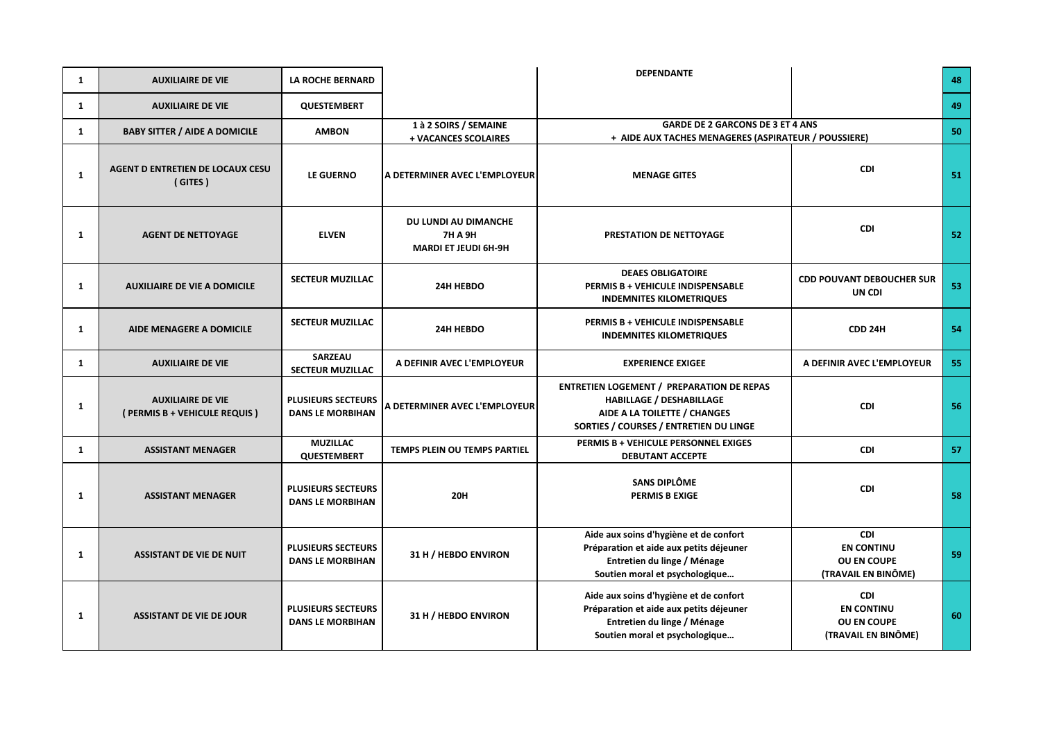| 1            | <b>AUXILIAIRE DE VIE</b>                                 | <b>LA ROCHE BERNARD</b>                              |                                                                       | <b>DEPENDANTE</b>                                                                                                                                             |                                                                       | 48 |
|--------------|----------------------------------------------------------|------------------------------------------------------|-----------------------------------------------------------------------|---------------------------------------------------------------------------------------------------------------------------------------------------------------|-----------------------------------------------------------------------|----|
| 1            | <b>AUXILIAIRE DE VIE</b>                                 | <b>QUESTEMBERT</b>                                   |                                                                       |                                                                                                                                                               |                                                                       | 49 |
| $\mathbf{1}$ | <b>BABY SITTER / AIDE A DOMICILE</b>                     | <b>AMBON</b>                                         | 1 à 2 SOIRS / SEMAINE<br>+ VACANCES SCOLAIRES                         | <b>GARDE DE 2 GARCONS DE 3 ET 4 ANS</b><br>+ AIDE AUX TACHES MENAGERES (ASPIRATEUR / POUSSIERE)                                                               |                                                                       | 50 |
| 1            | AGENT D ENTRETIEN DE LOCAUX CESU<br>(GITES)              | LE GUERNO                                            | A DETERMINER AVEC L'EMPLOYEUR                                         | <b>MENAGE GITES</b>                                                                                                                                           | CDI                                                                   | 51 |
| 1            | <b>AGENT DE NETTOYAGE</b>                                | <b>ELVEN</b>                                         | DU LUNDI AU DIMANCHE<br><b>7H A 9H</b><br><b>MARDI ET JEUDI 6H-9H</b> | PRESTATION DE NETTOYAGE                                                                                                                                       | <b>CDI</b>                                                            | 52 |
| 1            | <b>AUXILIAIRE DE VIE A DOMICILE</b>                      | <b>SECTEUR MUZILLAC</b>                              | 24H HEBDO                                                             | <b>DEAES OBLIGATOIRE</b><br>PERMIS B + VEHICULE INDISPENSABLE<br><b>INDEMNITES KILOMETRIQUES</b>                                                              | <b>CDD POUVANT DEBOUCHER SUR</b><br>UN CDI                            | 53 |
| 1            | AIDE MENAGERE A DOMICILE                                 | <b>SECTEUR MUZILLAC</b>                              | 24H HEBDO                                                             | PERMIS B + VEHICULE INDISPENSABLE<br><b>INDEMNITES KILOMETRIQUES</b>                                                                                          | CDD 24H                                                               | 54 |
| 1            | <b>AUXILIAIRE DE VIE</b>                                 | <b>SARZEAU</b><br><b>SECTEUR MUZILLAC</b>            | A DEFINIR AVEC L'EMPLOYEUR                                            | <b>EXPERIENCE EXIGEE</b>                                                                                                                                      | A DEFINIR AVEC L'EMPLOYEUR                                            | 55 |
| 1            | <b>AUXILIAIRE DE VIE</b><br>(PERMIS B + VEHICULE REQUIS) | PLUSIEURS SECTEURS<br><b>DANS LE MORBIHAN</b>        | A DETERMINER AVEC L'EMPLOYEUR                                         | <b>ENTRETIEN LOGEMENT / PREPARATION DE REPAS</b><br><b>HABILLAGE / DESHABILLAGE</b><br>AIDE A LA TOILETTE / CHANGES<br>SORTIES / COURSES / ENTRETIEN DU LINGE | CDI                                                                   | 56 |
| 1            | <b>ASSISTANT MENAGER</b>                                 | <b>MUZILLAC</b><br><b>QUESTEMBERT</b>                | TEMPS PLEIN OU TEMPS PARTIEL                                          | PERMIS B + VEHICULE PERSONNEL EXIGES<br><b>DEBUTANT ACCEPTE</b>                                                                                               | <b>CDI</b>                                                            | 57 |
| 1            | <b>ASSISTANT MENAGER</b>                                 | <b>PLUSIEURS SECTEURS</b><br><b>DANS LE MORBIHAN</b> | <b>20H</b>                                                            | SANS DIPLÔME<br><b>PERMIS B EXIGE</b>                                                                                                                         | <b>CDI</b>                                                            | 58 |
| 1            | <b>ASSISTANT DE VIE DE NUIT</b>                          | <b>PLUSIEURS SECTEURS</b><br><b>DANS LE MORBIHAN</b> | 31 H / HEBDO ENVIRON                                                  | Aide aux soins d'hygiène et de confort<br>Préparation et aide aux petits déjeuner<br>Entretien du linge / Ménage<br>Soutien moral et psychologique            | CDI<br><b>EN CONTINU</b><br><b>OU EN COUPE</b><br>(TRAVAIL EN BINÔME) | 59 |
| 1            | <b>ASSISTANT DE VIE DE JOUR</b>                          | <b>PLUSIEURS SECTEURS</b><br><b>DANS LE MORBIHAN</b> | 31 H / HEBDO ENVIRON                                                  | Aide aux soins d'hygiène et de confort<br>Préparation et aide aux petits déjeuner<br>Entretien du linge / Ménage<br>Soutien moral et psychologique            | <b>CDI</b><br><b>EN CONTINU</b><br>OU EN COUPE<br>(TRAVAIL EN BINÔME) | 60 |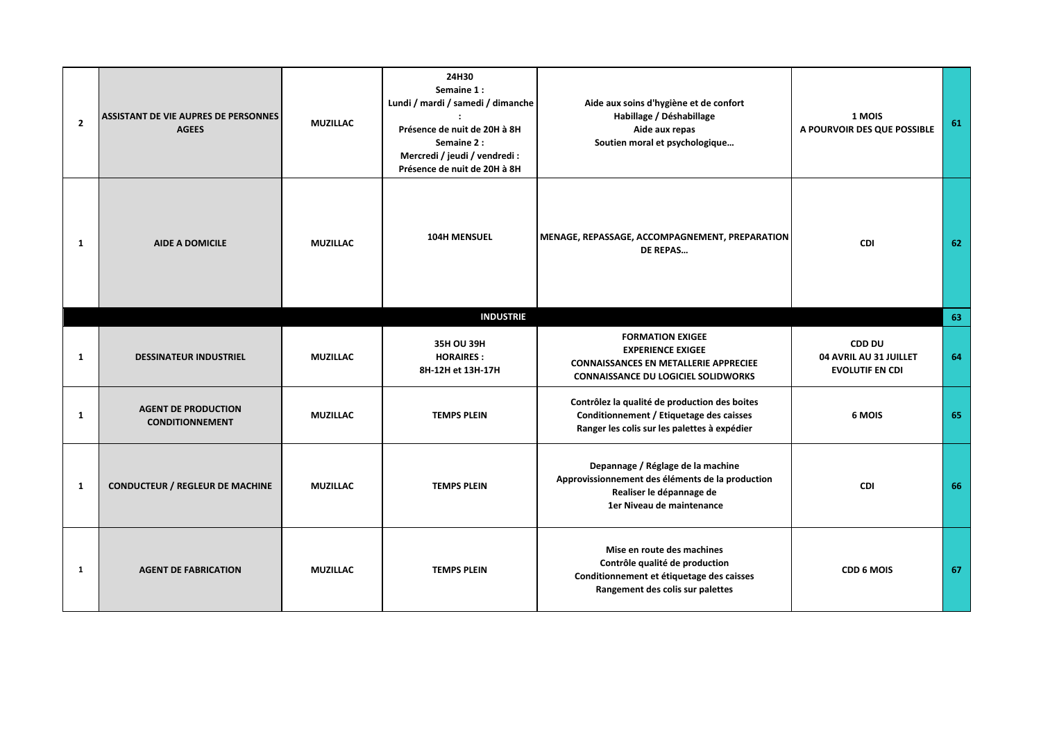| $\overline{2}$ | <b>ASSISTANT DE VIE AUPRES DE PERSONNES</b><br><b>AGEES</b> | <b>MUZILLAC</b> | 24H30<br>Semaine 1:<br>Lundi / mardi / samedi / dimanche<br>Présence de nuit de 20H à 8H<br>Semaine 2:<br>Mercredi / jeudi / vendredi :<br>Présence de nuit de 20H à 8H | Aide aux soins d'hygiène et de confort<br>Habillage / Déshabillage<br>Aide aux repas<br>Soutien moral et psychologique                            | 1 MOIS<br>A POURVOIR DES QUE POSSIBLE                             | 61 |
|----------------|-------------------------------------------------------------|-----------------|-------------------------------------------------------------------------------------------------------------------------------------------------------------------------|---------------------------------------------------------------------------------------------------------------------------------------------------|-------------------------------------------------------------------|----|
| 1              | <b>AIDE A DOMICILE</b>                                      | <b>MUZILLAC</b> | <b>104H MENSUEL</b>                                                                                                                                                     | MENAGE, REPASSAGE, ACCOMPAGNEMENT, PREPARATION<br><b>DE REPAS</b>                                                                                 | <b>CDI</b>                                                        | 62 |
|                |                                                             |                 | <b>INDUSTRIE</b>                                                                                                                                                        |                                                                                                                                                   |                                                                   | 63 |
| 1              | <b>DESSINATEUR INDUSTRIEL</b>                               | <b>MUZILLAC</b> | 35H OU 39H<br><b>HORAIRES:</b><br>8H-12H et 13H-17H                                                                                                                     | <b>FORMATION EXIGEE</b><br><b>EXPERIENCE EXIGEE</b><br><b>CONNAISSANCES EN METALLERIE APPRECIEE</b><br><b>CONNAISSANCE DU LOGICIEL SOLIDWORKS</b> | <b>CDD DU</b><br>04 AVRIL AU 31 JUILLET<br><b>EVOLUTIF EN CDI</b> | 64 |
| 1              | <b>AGENT DE PRODUCTION</b><br><b>CONDITIONNEMENT</b>        | <b>MUZILLAC</b> | <b>TEMPS PLEIN</b>                                                                                                                                                      | Contrôlez la qualité de production des boites<br>Conditionnement / Etiquetage des caisses<br>Ranger les colis sur les palettes à expédier         | 6 MOIS                                                            | 65 |
| 1              | <b>CONDUCTEUR / REGLEUR DE MACHINE</b>                      | <b>MUZILLAC</b> | <b>TEMPS PLEIN</b>                                                                                                                                                      | Depannage / Réglage de la machine<br>Approvissionnement des éléments de la production<br>Realiser le dépannage de<br>1er Niveau de maintenance    | CDI                                                               | 66 |
| 1              | <b>AGENT DE FABRICATION</b>                                 | <b>MUZILLAC</b> | <b>TEMPS PLEIN</b>                                                                                                                                                      | Mise en route des machines<br>Contrôle qualité de production<br>Conditionnement et étiquetage des caisses<br>Rangement des colis sur palettes     | <b>CDD 6 MOIS</b>                                                 | 67 |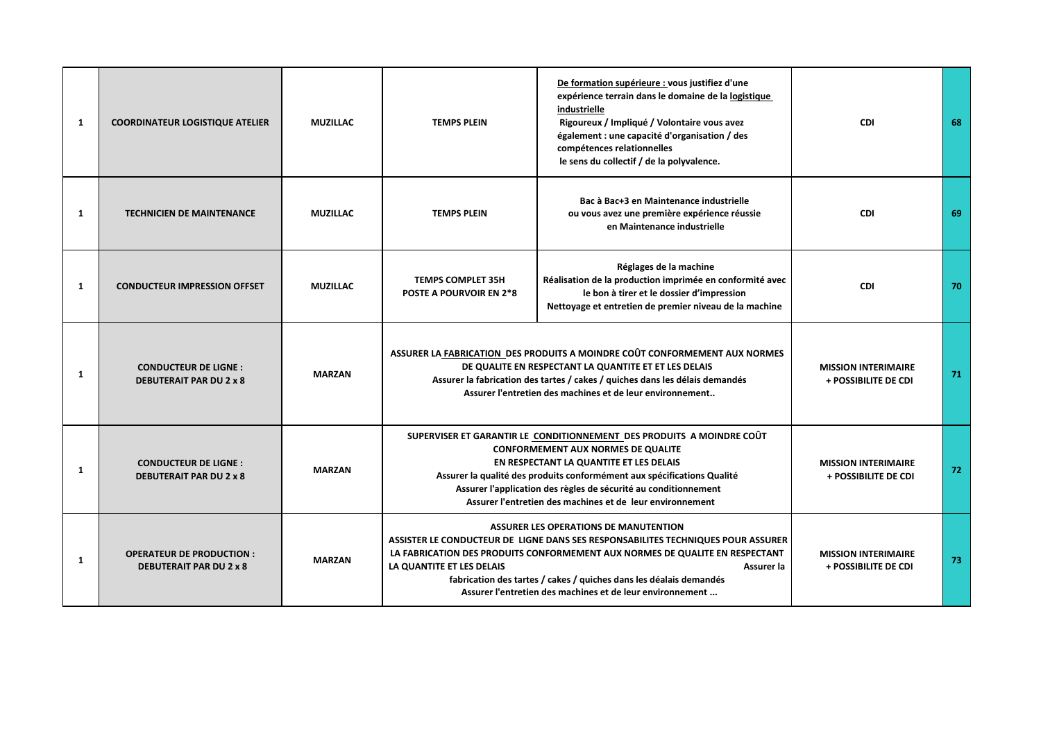| 1 | <b>COORDINATEUR LOGISTIQUE ATELIER</b>                            | <b>MUZILLAC</b> | <b>TEMPS PLEIN</b>                                                                                                                                                                                                                                                                                                                                                       | De formation supérieure : vous justifiez d'une<br>expérience terrain dans le domaine de la logistique<br>industrielle<br>Rigoureux / Impliqué / Volontaire vous avez<br>également : une capacité d'organisation / des<br>compétences relationnelles<br>le sens du collectif / de la polyvalence.                                                                  | <b>CDI</b>                                         | 68 |
|---|-------------------------------------------------------------------|-----------------|--------------------------------------------------------------------------------------------------------------------------------------------------------------------------------------------------------------------------------------------------------------------------------------------------------------------------------------------------------------------------|-------------------------------------------------------------------------------------------------------------------------------------------------------------------------------------------------------------------------------------------------------------------------------------------------------------------------------------------------------------------|----------------------------------------------------|----|
| 1 | <b>TECHNICIEN DE MAINTENANCE</b>                                  | <b>MUZILLAC</b> | <b>TEMPS PLEIN</b>                                                                                                                                                                                                                                                                                                                                                       | Bac à Bac+3 en Maintenance industrielle<br>ou vous avez une première expérience réussie<br>en Maintenance industrielle                                                                                                                                                                                                                                            | <b>CDI</b>                                         | 69 |
| 1 | <b>CONDUCTEUR IMPRESSION OFFSET</b>                               | <b>MUZILLAC</b> | <b>TEMPS COMPLET 35H</b><br><b>POSTE A POURVOIR EN 2*8</b>                                                                                                                                                                                                                                                                                                               | Réglages de la machine<br>Réalisation de la production imprimée en conformité avec<br>le bon à tirer et le dossier d'impression<br>Nettoyage et entretien de premier niveau de la machine                                                                                                                                                                         | CDI                                                | 70 |
| 1 | <b>CONDUCTEUR DE LIGNE:</b><br><b>DEBUTERAIT PAR DU 2 x 8</b>     | <b>MARZAN</b>   | ASSURER LA FABRICATION DES PRODUITS A MOINDRE COÛT CONFORMEMENT AUX NORMES<br>DE QUALITE EN RESPECTANT LA QUANTITE ET ET LES DELAIS<br>Assurer la fabrication des tartes / cakes / quiches dans les délais demandés<br>Assurer l'entretien des machines et de leur environnement                                                                                         |                                                                                                                                                                                                                                                                                                                                                                   | <b>MISSION INTERIMAIRE</b><br>+ POSSIBILITE DE CDI | 71 |
| 1 | <b>CONDUCTEUR DE LIGNE:</b><br><b>DEBUTERAIT PAR DU 2 x 8</b>     | <b>MARZAN</b>   | SUPERVISER ET GARANTIR LE CONDITIONNEMENT DES PRODUITS A MOINDRE COÛT<br><b>CONFORMEMENT AUX NORMES DE QUALITE</b><br>EN RESPECTANT LA QUANTITE ET LES DELAIS<br>Assurer la qualité des produits conformément aux spécifications Qualité<br>Assurer l'application des règles de sécurité au conditionnement<br>Assurer l'entretien des machines et de leur environnement |                                                                                                                                                                                                                                                                                                                                                                   | <b>MISSION INTERIMAIRE</b><br>+ POSSIBILITE DE CDI | 72 |
| 1 | <b>OPERATEUR DE PRODUCTION:</b><br><b>DEBUTERAIT PAR DU 2 x 8</b> | <b>MARZAN</b>   | LA QUANTITE ET LES DELAIS                                                                                                                                                                                                                                                                                                                                                | <b>ASSURER LES OPERATIONS DE MANUTENTION</b><br>ASSISTER LE CONDUCTEUR DE LIGNE DANS SES RESPONSABILITES TECHNIQUES POUR ASSURER<br>LA FABRICATION DES PRODUITS CONFORMEMENT AUX NORMES DE QUALITE EN RESPECTANT<br>Assurer la<br>fabrication des tartes / cakes / quiches dans les déalais demandés<br>Assurer l'entretien des machines et de leur environnement | <b>MISSION INTERIMAIRE</b><br>+ POSSIBILITE DE CDI | 73 |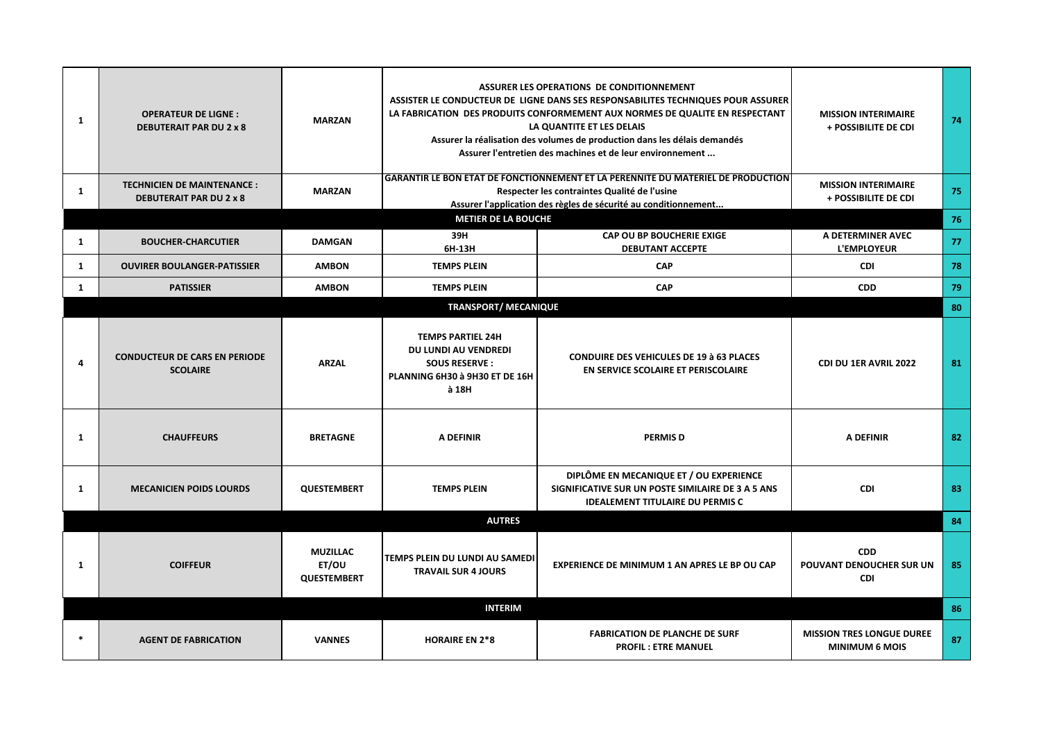| 1      | <b>OPERATEUR DE LIGNE:</b><br><b>DEBUTERAIT PAR DU 2 x 8</b>        | <b>MARZAN</b>                                  |                                                                                                                     | ASSURER LES OPERATIONS DE CONDITIONNEMENT<br>ASSISTER LE CONDUCTEUR DE LIGNE DANS SES RESPONSABILITES TECHNIQUES POUR ASSURER<br>LA FABRICATION DES PRODUITS CONFORMEMENT AUX NORMES DE QUALITE EN RESPECTANT<br>LA QUANTITE ET LES DELAIS<br>Assurer la réalisation des volumes de production dans les délais demandés<br>Assurer l'entretien des machines et de leur environnement | <b>MISSION INTERIMAIRE</b><br>+ POSSIBILITE DE CDI        | 74 |
|--------|---------------------------------------------------------------------|------------------------------------------------|---------------------------------------------------------------------------------------------------------------------|--------------------------------------------------------------------------------------------------------------------------------------------------------------------------------------------------------------------------------------------------------------------------------------------------------------------------------------------------------------------------------------|-----------------------------------------------------------|----|
| 1      | <b>TECHNICIEN DE MAINTENANCE:</b><br><b>DEBUTERAIT PAR DU 2 x 8</b> | <b>MARZAN</b>                                  |                                                                                                                     | <b>GARANTIR LE BON ETAT DE FONCTIONNEMENT ET LA PERENNITE DU MATERIEL DE PRODUCTION</b><br>Respecter les contraintes Qualité de l'usine<br>Assurer l'application des règles de sécurité au conditionnement                                                                                                                                                                           | <b>MISSION INTERIMAIRE</b><br>+ POSSIBILITE DE CDI        | 75 |
|        |                                                                     |                                                | <b>METIER DE LA BOUCHE</b>                                                                                          |                                                                                                                                                                                                                                                                                                                                                                                      |                                                           | 76 |
| 1      | <b>BOUCHER-CHARCUTIER</b>                                           | <b>DAMGAN</b>                                  | 39H<br>6H-13H                                                                                                       | CAP OU BP BOUCHERIE EXIGE<br><b>DEBUTANT ACCEPTE</b>                                                                                                                                                                                                                                                                                                                                 | A DETERMINER AVEC<br><b>L'EMPLOYEUR</b>                   | 77 |
| 1      | <b>OUVIRER BOULANGER-PATISSIER</b>                                  | <b>AMBON</b>                                   | <b>TEMPS PLEIN</b>                                                                                                  | <b>CAP</b>                                                                                                                                                                                                                                                                                                                                                                           | <b>CDI</b>                                                | 78 |
| 1      | <b>PATISSIER</b>                                                    | <b>AMBON</b>                                   | <b>TEMPS PLEIN</b>                                                                                                  | <b>CAP</b>                                                                                                                                                                                                                                                                                                                                                                           | <b>CDD</b>                                                | 79 |
|        |                                                                     |                                                | <b>TRANSPORT/ MECANIQUE</b>                                                                                         |                                                                                                                                                                                                                                                                                                                                                                                      |                                                           | 80 |
| 4      | <b>CONDUCTEUR DE CARS EN PERIODE</b><br><b>SCOLAIRE</b>             | <b>ARZAL</b>                                   | <b>TEMPS PARTIEL 24H</b><br>DU LUNDI AU VENDREDI<br><b>SOUS RESERVE:</b><br>PLANNING 6H30 à 9H30 ET DE 16H<br>à 18H | <b>CONDUIRE DES VEHICULES DE 19 à 63 PLACES</b><br>EN SERVICE SCOLAIRE ET PERISCOLAIRE                                                                                                                                                                                                                                                                                               | <b>CDI DU 1ER AVRIL 2022</b>                              | 81 |
| 1      | <b>CHAUFFEURS</b>                                                   | <b>BRETAGNE</b>                                | A DEFINIR                                                                                                           | <b>PERMISD</b>                                                                                                                                                                                                                                                                                                                                                                       | <b>A DEFINIR</b>                                          | 82 |
| 1      | <b>MECANICIEN POIDS LOURDS</b>                                      | <b>QUESTEMBERT</b>                             | <b>TEMPS PLEIN</b>                                                                                                  | DIPLÔME EN MECANIQUE ET / OU EXPERIENCE<br>SIGNIFICATIVE SUR UN POSTE SIMILAIRE DE 3 A 5 ANS<br><b>IDEALEMENT TITULAIRE DU PERMIS C</b>                                                                                                                                                                                                                                              | <b>CDI</b>                                                | 83 |
|        |                                                                     |                                                | <b>AUTRES</b>                                                                                                       |                                                                                                                                                                                                                                                                                                                                                                                      |                                                           | 84 |
| 1      | <b>COIFFEUR</b>                                                     | <b>MUZILLAC</b><br>ET/OU<br><b>QUESTEMBERT</b> | TEMPS PLEIN DU LUNDI AU SAMEDI<br><b>TRAVAIL SUR 4 JOURS</b>                                                        | <b>EXPERIENCE DE MINIMUM 1 AN APRES LE BP OU CAP</b>                                                                                                                                                                                                                                                                                                                                 | <b>CDD</b><br>POUVANT DENOUCHER SUR UN<br>CDI             | 85 |
|        |                                                                     |                                                | <b>INTERIM</b>                                                                                                      |                                                                                                                                                                                                                                                                                                                                                                                      |                                                           | 86 |
| $\ast$ | <b>AGENT DE FABRICATION</b>                                         | <b>VANNES</b>                                  | <b>HORAIRE EN 2*8</b>                                                                                               | <b>FABRICATION DE PLANCHE DE SURF</b><br><b>PROFIL: ETRE MANUEL</b>                                                                                                                                                                                                                                                                                                                  | <b>MISSION TRES LONGUE DUREE</b><br><b>MINIMUM 6 MOIS</b> | 87 |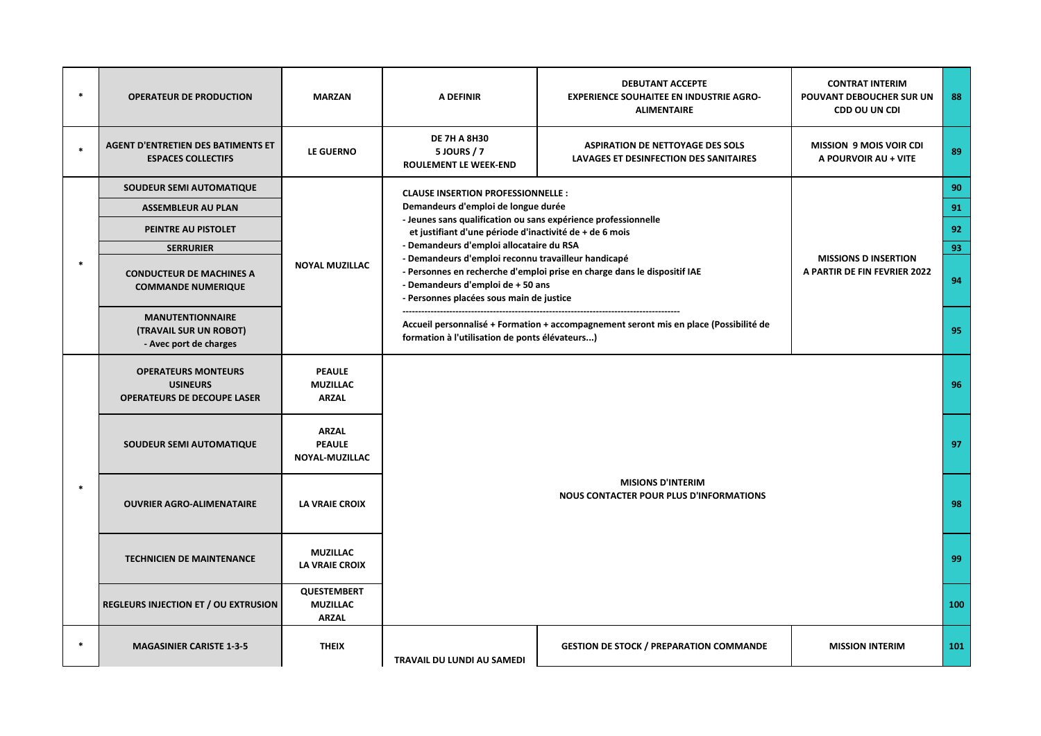| $\ast$ | <b>OPERATEUR DE PRODUCTION</b>                                                      | <b>MARZAN</b>                                         | A DEFINIR                                                                                                                                                                                                        | <b>DEBUTANT ACCEPTE</b><br><b>EXPERIENCE SOUHAITEE EN INDUSTRIE AGRO-</b><br><b>ALIMENTAIRE</b> | <b>CONTRAT INTERIM</b><br>POUVANT DEBOUCHER SUR UN<br>CDD OU UN CDI | 88  |
|--------|-------------------------------------------------------------------------------------|-------------------------------------------------------|------------------------------------------------------------------------------------------------------------------------------------------------------------------------------------------------------------------|-------------------------------------------------------------------------------------------------|---------------------------------------------------------------------|-----|
|        | <b>AGENT D'ENTRETIEN DES BATIMENTS ET</b><br><b>ESPACES COLLECTIFS</b>              | LE GUERNO                                             | <b>DE 7H A 8H30</b><br><b>5 JOURS / 7</b><br><b>ROULEMENT LE WEEK-END</b>                                                                                                                                        | <b>ASPIRATION DE NETTOYAGE DES SOLS</b><br>LAVAGES ET DESINFECTION DES SANITAIRES               | <b>MISSION 9 MOIS VOIR CDI</b><br>A POURVOIR AU + VITE              | 89  |
|        | SOUDEUR SEMI AUTOMATIQUE                                                            |                                                       | <b>CLAUSE INSERTION PROFESSIONNELLE:</b>                                                                                                                                                                         |                                                                                                 |                                                                     | 90  |
|        | <b>ASSEMBLEUR AU PLAN</b>                                                           |                                                       | Demandeurs d'emploi de longue durée<br>- Jeunes sans qualification ou sans expérience professionnelle<br>et justifiant d'une période d'inactivité de + de 6 mois<br>- Demandeurs d'emploi allocataire du RSA     |                                                                                                 |                                                                     | 91  |
|        | PEINTRE AU PISTOLET                                                                 |                                                       |                                                                                                                                                                                                                  |                                                                                                 |                                                                     | 92  |
|        | <b>SERRURIER</b>                                                                    |                                                       |                                                                                                                                                                                                                  |                                                                                                 |                                                                     | 93  |
|        | <b>CONDUCTEUR DE MACHINES A</b><br><b>COMMANDE NUMERIQUE</b>                        | <b>NOYAL MUZILLAC</b>                                 | - Demandeurs d'emploi reconnu travailleur handicapé<br>- Personnes en recherche d'emploi prise en charge dans le dispositif IAE<br>- Demandeurs d'emploi de + 50 ans<br>- Personnes placées sous main de justice |                                                                                                 | <b>MISSIONS D INSERTION</b><br>A PARTIR DE FIN FEVRIER 2022         | 94  |
|        | <b>MANUTENTIONNAIRE</b><br>(TRAVAIL SUR UN ROBOT)<br>- Avec port de charges         |                                                       | formation à l'utilisation de ponts élévateurs)                                                                                                                                                                   | Accueil personnalisé + Formation + accompagnement seront mis en place (Possibilité de           |                                                                     | 95  |
|        | <b>OPERATEURS MONTEURS</b><br><b>USINEURS</b><br><b>OPERATEURS DE DECOUPE LASER</b> | <b>PEAULE</b><br><b>MUZILLAC</b><br><b>ARZAL</b>      |                                                                                                                                                                                                                  |                                                                                                 | 96                                                                  |     |
|        | SOUDEUR SEMI AUTOMATIQUE                                                            | <b>ARZAL</b><br><b>PEAULE</b><br>NOYAL-MUZILLAC       |                                                                                                                                                                                                                  |                                                                                                 |                                                                     | 97  |
| $\ast$ | <b>OUVRIER AGRO-ALIMENATAIRE</b>                                                    | <b>LA VRAIE CROIX</b>                                 |                                                                                                                                                                                                                  | <b>MISIONS D'INTERIM</b><br><b>NOUS CONTACTER POUR PLUS D'INFORMATIONS</b>                      |                                                                     | 98  |
|        | <b>TECHNICIEN DE MAINTENANCE</b>                                                    | <b>MUZILLAC</b><br><b>LA VRAIE CROIX</b>              |                                                                                                                                                                                                                  |                                                                                                 |                                                                     |     |
|        | <b>REGLEURS INJECTION ET / OU EXTRUSION</b>                                         | <b>QUESTEMBERT</b><br><b>MUZILLAC</b><br><b>ARZAL</b> |                                                                                                                                                                                                                  |                                                                                                 |                                                                     | 100 |
| $\ast$ | <b>MAGASINIER CARISTE 1-3-5</b>                                                     | <b>THEIX</b>                                          | TRAVAIL DU LUNDI AU SAMEDI                                                                                                                                                                                       | <b>GESTION DE STOCK / PREPARATION COMMANDE</b>                                                  | <b>MISSION INTERIM</b>                                              | 101 |